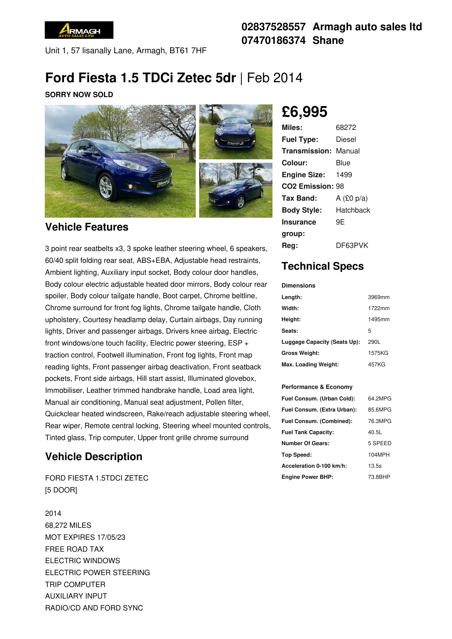

Unit 1, 57 lisanally Lane, Armagh, BT61 7HF

## **02837528557 Armagh auto sales ltd 07470186374 Shane**

# **Ford Fiesta 1.5 TDCi Zetec 5dr** |Feb 2014

#### **SORRY NOW SOLD**



#### **Vehicle Features**

3 point rear seatbelts x3, 3 spoke leather steering wheel, 6 speakers, 60/40 split folding rear seat, ABS+EBA, Adjustable head restraints, Ambient lighting, Auxiliary input socket, Body colour door handles, Body colour electric adjustable heated door mirrors, Body colour rear spoiler, Body colour tailgate handle, Boot carpet, Chrome beltline, Chrome surround for front fog lights, Chrome tailgate handle, Cloth upholstery, Courtesy headlamp delay, Curtain airbags, Day running lights, Driver and passenger airbags, Drivers knee airbag, Electric front windows/one touch facility, Electric power steering, ESP + traction control, Footwell illumination, Front fog lights, Front map reading lights, Front passenger airbag deactivation, Front seatback pockets, Front side airbags, Hill start assist, Illuminated glovebox, Immobiliser, Leather trimmed handbrake handle, Load area light, Manual air conditioning, Manual seat adjustment, Pollen filter, Quickclear heated windscreen, Rake/reach adjustable steering wheel, Rear wiper, Remote central locking, Steering wheel mounted controls, Tinted glass, Trip computer, Upper front grille chrome surround

## **Vehicle Description**

FORD FIESTA 1.5TDCI ZETEC [5 DOOR]

2014 68,272 MILES MOT EXPIRES 17/05/23 FREE ROAD TAX ELECTRIC WINDOWS ELECTRIC POWER STEERING TRIP COMPUTER AUXILIARY INPUT RADIO/CD AND FORD SYNC

**£6,995**

| Miles:                       | 68272        |
|------------------------------|--------------|
| <b>Fuel Type:</b>            | Diesel       |
| <b>Transmission: Manual</b>  |              |
| Colour:                      | Blue         |
| <b>Engine Size:</b>          | 1499         |
| CO <sub>2</sub> Emission: 98 |              |
| Tax Band:                    | A $(E0 p/a)$ |
| <b>Body Style:</b>           | Hatchback    |
| <b>Insurance</b>             | 9Ε           |
| group:                       |              |
| Rea:                         | DF63PVK      |

### **Technical Specs**

**Dimensions**

| Length:                      | 3969mm |
|------------------------------|--------|
| Width:                       | 1722mm |
| Height:                      | 1495mm |
| Seats:                       | 5      |
| Luggage Capacity (Seats Up): | 290L   |
| <b>Gross Weight:</b>         | 1575KG |
| Max. Loading Weight:         | 457KG  |

#### **Performance & Economy**

| Fuel Consum. (Urban Cold):  | 64.2MPG |
|-----------------------------|---------|
| Fuel Consum. (Extra Urban): | 85.6MPG |
| Fuel Consum. (Combined):    | 76.3MPG |
| <b>Fuel Tank Capacity:</b>  | 40.5L   |
| <b>Number Of Gears:</b>     | 5 SPEED |
| Top Speed:                  | 104MPH  |
| Acceleration 0-100 km/h:    | 13.5s   |
| <b>Engine Power BHP:</b>    | 73.8BHP |